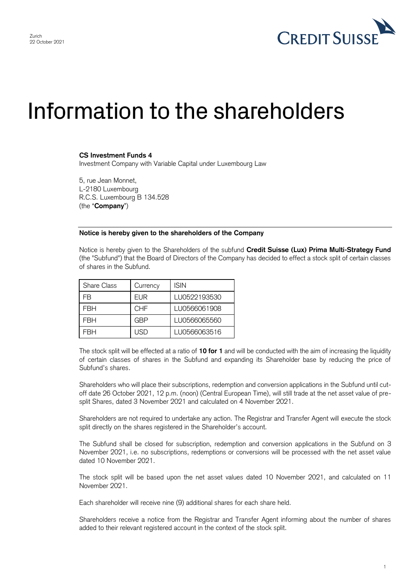

## Information to the shareholders

## **CS Investment Funds 4**

Investment Company with Variable Capital under Luxembourg Law

5, rue Jean Monnet, L-2180 Luxembourg R.C.S. Luxembourg B 134.528 (the "**Company**")

## **Notice is hereby given to the shareholders of the Company**

Notice is hereby given to the Shareholders of the subfund **Credit Suisse (Lux) Prima Multi-Strategy Fund** (the "Subfund") that the Board of Directors of the Company has decided to effect a stock split of certain classes of shares in the Subfund.

| <b>Share Class</b> | Currency   | <b>ISIN</b>  |
|--------------------|------------|--------------|
| FB                 | EUR        | LU0522193530 |
| FRH                | <b>CHF</b> | LU0566061908 |
| FRH                | GBP        | LU0566065560 |
| =RH                | USD        | LU0566063516 |

The stock split will be effected at a ratio of **10 for 1** and will be conducted with the aim of increasing the liquidity of certain classes of shares in the Subfund and expanding its Shareholder base by reducing the price of Subfund's shares.

Shareholders who will place their subscriptions, redemption and conversion applications in the Subfund until cutoff date 26 October 2021, 12 p.m. (noon) (Central European Time), will still trade at the net asset value of presplit Shares, dated 3 November 2021 and calculated on 4 November 2021.

Shareholders are not required to undertake any action. The Registrar and Transfer Agent will execute the stock split directly on the shares registered in the Shareholder's account.

The Subfund shall be closed for subscription, redemption and conversion applications in the Subfund on 3 November 2021, i.e. no subscriptions, redemptions or conversions will be processed with the net asset value dated 10 November 2021.

The stock split will be based upon the net asset values dated 10 November 2021, and calculated on 11 November 2021.

Each shareholder will receive nine (9) additional shares for each share held.

Shareholders receive a notice from the Registrar and Transfer Agent informing about the number of shares added to their relevant registered account in the context of the stock split.